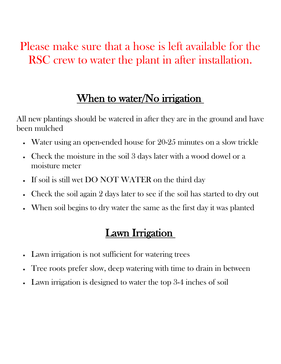# Please make sure that a hose is left available for the RSC crew to water the plant in after installation.

## When to water/No irrigation

All new plantings should be watered in after they are in the ground and have been mulched

- Water using an open-ended house for 20-25 minutes on a slow trickle
- Check the moisture in the soil 3 days later with a wood dowel or a moisture meter
- If soil is still wet DO NOT WATER on the third day
- Check the soil again 2 days later to see if the soil has started to dry out
- When soil begins to dry water the same as the first day it was planted

### Lawn Irrigation

- Lawn irrigation is not sufficient for watering trees
- Tree roots prefer slow, deep watering with time to drain in between
- Lawn irrigation is designed to water the top 3-4 inches of soil